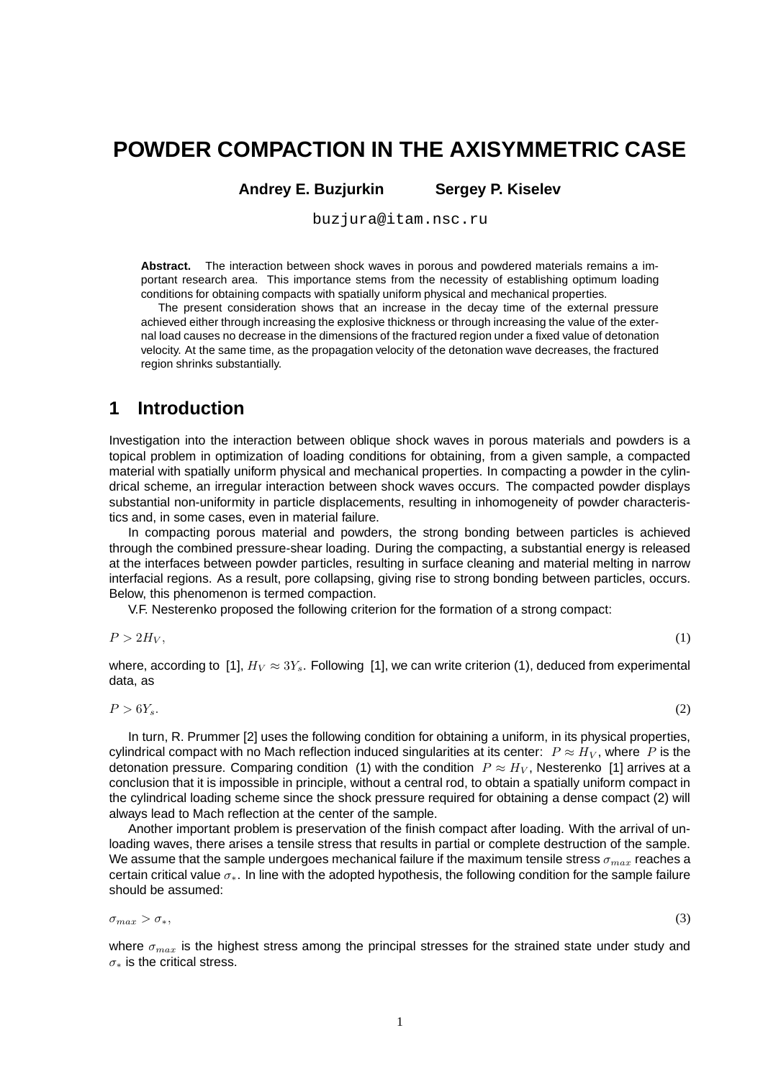# **POWDER COMPACTION IN THE AXISYMMETRIC CASE**

**Andrey E. Buzjurkin Sergey P. Kiselev**

buzjura@itam.nsc.ru

**Abstract.** The interaction between shock waves in porous and powdered materials remains a important research area. This importance stems from the necessity of establishing optimum loading conditions for obtaining compacts with spatially uniform physical and mechanical properties.

The present consideration shows that an increase in the decay time of the external pressure achieved either through increasing the explosive thickness or through increasing the value of the external load causes no decrease in the dimensions of the fractured region under a fixed value of detonation velocity. At the same time, as the propagation velocity of the detonation wave decreases, the fractured region shrinks substantially.

### **1 Introduction**

Investigation into the interaction between oblique shock waves in porous materials and powders is a topical problem in optimization of loading conditions for obtaining, from a given sample, a compacted material with spatially uniform physical and mechanical properties. In compacting a powder in the cylindrical scheme, an irregular interaction between shock waves occurs. The compacted powder displays substantial non-uniformity in particle displacements, resulting in inhomogeneity of powder characteristics and, in some cases, even in material failure.

In compacting porous material and powders, the strong bonding between particles is achieved through the combined pressure-shear loading. During the compacting, a substantial energy is released at the interfaces between powder particles, resulting in surface cleaning and material melting in narrow interfacial regions. As a result, pore collapsing, giving rise to strong bonding between particles, occurs. Below, this phenomenon is termed compaction.

V.F. Nesterenko proposed the following criterion for the formation of a strong compact:

$$
P > 2H_V,\tag{1}
$$

where, according to [1],  $H_V \approx 3Y_s$ . Following [1], we can write criterion (1), deduced from experimental data, as

$$
P > 6Y_s. \tag{2}
$$

In turn, R. Prummer [2] uses the following condition for obtaining a uniform, in its physical properties, cylindrical compact with no Mach reflection induced singularities at its center:  $P \approx H_V$ , where P is the detonation pressure. Comparing condition (1) with the condition  $P \approx H_V$ , Nesterenko [1] arrives at a conclusion that it is impossible in principle, without a central rod, to obtain a spatially uniform compact in the cylindrical loading scheme since the shock pressure required for obtaining a dense compact (2) will always lead to Mach reflection at the center of the sample.

Another important problem is preservation of the finish compact after loading. With the arrival of unloading waves, there arises a tensile stress that results in partial or complete destruction of the sample. We assume that the sample undergoes mechanical failure if the maximum tensile stress  $\sigma_{max}$  reaches a certain critical value σ∗. In line with the adopted hypothesis, the following condition for the sample failure should be assumed:

$$
\sigma_{max} > \sigma_{*},\tag{3}
$$

where  $\sigma_{max}$  is the highest stress among the principal stresses for the strained state under study and  $\sigma_*$  is the critical stress.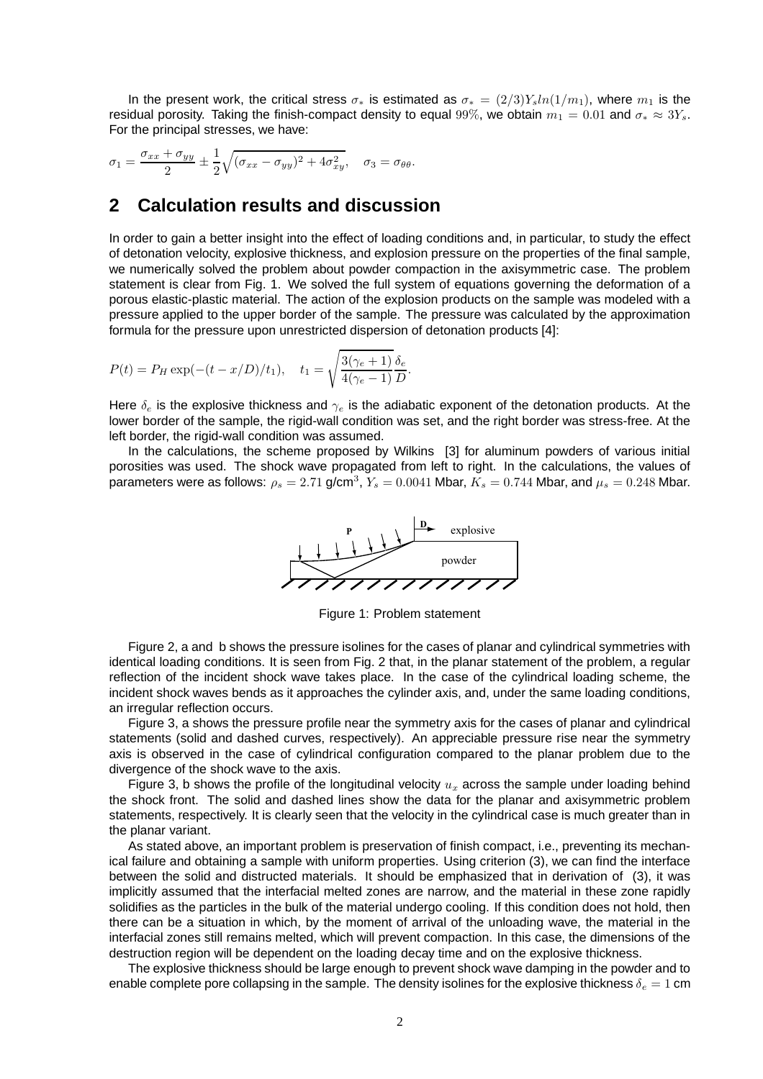In the present work, the critical stress  $\sigma_*$  is estimated as  $\sigma_* = (2/3)Y_s ln(1/m_1)$ , where  $m_1$  is the residual porosity. Taking the finish-compact density to equal 99%, we obtain  $m_1 = 0.01$  and  $\sigma_* \approx 3Y_s$ . For the principal stresses, we have:

$$
\sigma_1 = \frac{\sigma_{xx} + \sigma_{yy}}{2} \pm \frac{1}{2} \sqrt{(\sigma_{xx} - \sigma_{yy})^2 + 4\sigma_{xy}^2}, \quad \sigma_3 = \sigma_{\theta\theta}.
$$

## **2 Calculation results and discussion**

In order to gain a better insight into the effect of loading conditions and, in particular, to study the effect of detonation velocity, explosive thickness, and explosion pressure on the properties of the final sample, we numerically solved the problem about powder compaction in the axisymmetric case. The problem statement is clear from Fig. 1. We solved the full system of equations governing the deformation of a porous elastic-plastic material. The action of the explosion products on the sample was modeled with a pressure applied to the upper border of the sample. The pressure was calculated by the approximation formula for the pressure upon unrestricted dispersion of detonation products [4]:

$$
P(t) = P_H \exp(-(t - x/D)/t_1), \quad t_1 = \sqrt{\frac{3(\gamma_e + 1)}{4(\gamma_e - 1)}} \frac{\delta_e}{D}.
$$

Here  $\delta_e$  is the explosive thickness and  $\gamma_e$  is the adiabatic exponent of the detonation products. At the lower border of the sample, the rigid-wall condition was set, and the right border was stress-free. At the left border, the rigid-wall condition was assumed.

In the calculations, the scheme proposed by Wilkins [3] for aluminum powders of various initial porosities was used. The shock wave propagated from left to right. In the calculations, the values of parameters were as follows:  $\rho_s=2.71$  g/cm $^3$ ,  $Y_s=0.0041$  Mbar,  $\breve{K_s}=0.744$  Mbar, and  $\mu_s=0.248$  Mbar.



Figure 1: Problem statement

Figure 2, a and b shows the pressure isolines for the cases of planar and cylindrical symmetries with identical loading conditions. It is seen from Fig. 2 that, in the planar statement of the problem, a regular reflection of the incident shock wave takes place. In the case of the cylindrical loading scheme, the incident shock waves bends as it approaches the cylinder axis, and, under the same loading conditions, an irregular reflection occurs.

Figure 3, a shows the pressure profile near the symmetry axis for the cases of planar and cylindrical statements (solid and dashed curves, respectively). An appreciable pressure rise near the symmetry axis is observed in the case of cylindrical configuration compared to the planar problem due to the divergence of the shock wave to the axis.

Figure 3, b shows the profile of the longitudinal velocity  $u_x$  across the sample under loading behind the shock front. The solid and dashed lines show the data for the planar and axisymmetric problem statements, respectively. It is clearly seen that the velocity in the cylindrical case is much greater than in the planar variant.

As stated above, an important problem is preservation of finish compact, i.e., preventing its mechanical failure and obtaining a sample with uniform properties. Using criterion (3), we can find the interface between the solid and distructed materials. It should be emphasized that in derivation of (3), it was implicitly assumed that the interfacial melted zones are narrow, and the material in these zone rapidly solidifies as the particles in the bulk of the material undergo cooling. If this condition does not hold, then there can be a situation in which, by the moment of arrival of the unloading wave, the material in the interfacial zones still remains melted, which will prevent compaction. In this case, the dimensions of the destruction region will be dependent on the loading decay time and on the explosive thickness.

The explosive thickness should be large enough to prevent shock wave damping in the powder and to enable complete pore collapsing in the sample. The density isolines for the explosive thickness  $\delta_e = 1$  cm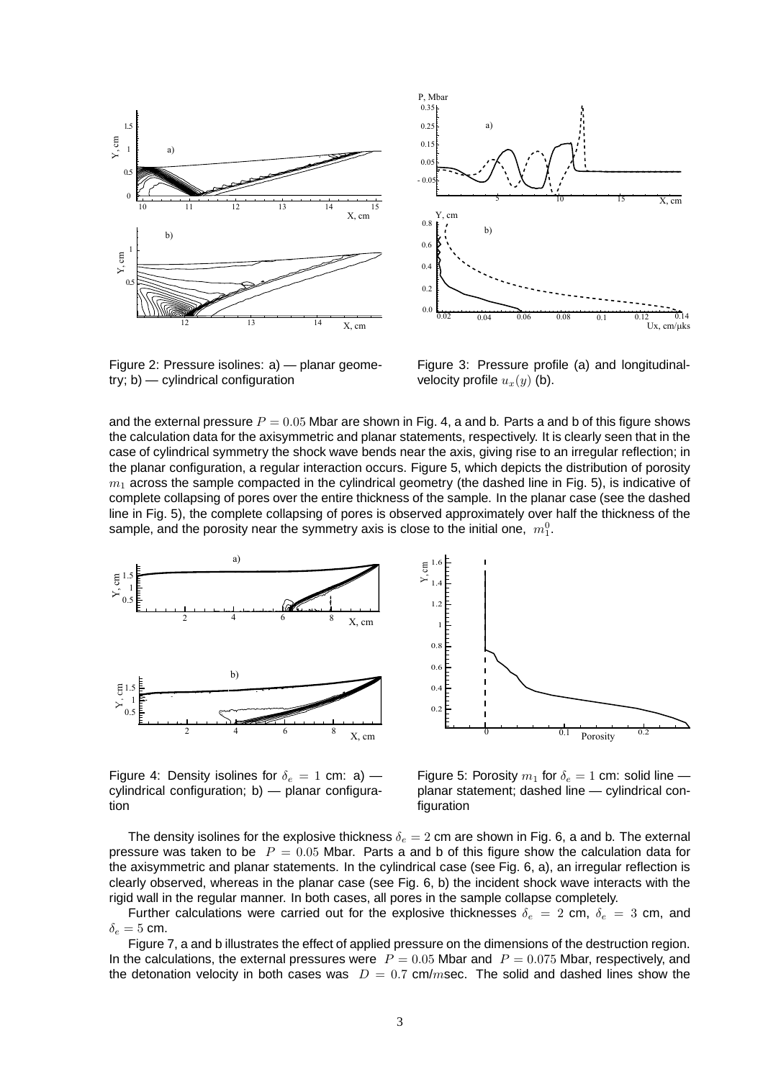



Figure 2: Pressure isolines: a) — planar geometry; b) — cylindrical configuration

Figure 3: Pressure profile (a) and longitudinalvelocity profile  $u_x(y)$  (b).

and the external pressure  $P = 0.05$  Mbar are shown in Fig. 4, a and b. Parts a and b of this figure shows the calculation data for the axisymmetric and planar statements, respectively. It is clearly seen that in the case of cylindrical symmetry the shock wave bends near the axis, giving rise to an irregular reflection; in the planar configuration, a regular interaction occurs. Figure 5, which depicts the distribution of porosity  $m_1$  across the sample compacted in the cylindrical geometry (the dashed line in Fig. 5), is indicative of complete collapsing of pores over the entire thickness of the sample. In the planar case (see the dashed line in Fig. 5), the complete collapsing of pores is observed approximately over half the thickness of the sample, and the porosity near the symmetry axis is close to the initial one,  $m_1^0$ .





Figure 4: Density isolines for  $\delta_e = 1$  cm: a) – cylindrical configuration; b) — planar configuration

Figure 5: Porosity  $m_1$  for  $\delta_e = 1$  cm: solid line planar statement; dashed line — cylindrical configuration

The density isolines for the explosive thickness  $\delta_e = 2$  cm are shown in Fig. 6, a and b. The external pressure was taken to be  $P = 0.05$  Mbar. Parts a and b of this figure show the calculation data for the axisymmetric and planar statements. In the cylindrical case (see Fig. 6, a), an irregular reflection is clearly observed, whereas in the planar case (see Fig. 6, b) the incident shock wave interacts with the rigid wall in the regular manner. In both cases, all pores in the sample collapse completely.

Further calculations were carried out for the explosive thicknesses  $\delta_e = 2$  cm,  $\delta_e = 3$  cm, and  $\delta_e = 5$  cm.

Figure 7, a and b illustrates the effect of applied pressure on the dimensions of the destruction region. In the calculations, the external pressures were  $P = 0.05$  Mbar and  $P = 0.075$  Mbar, respectively, and the detonation velocity in both cases was  $D = 0.7$  cm/msec. The solid and dashed lines show the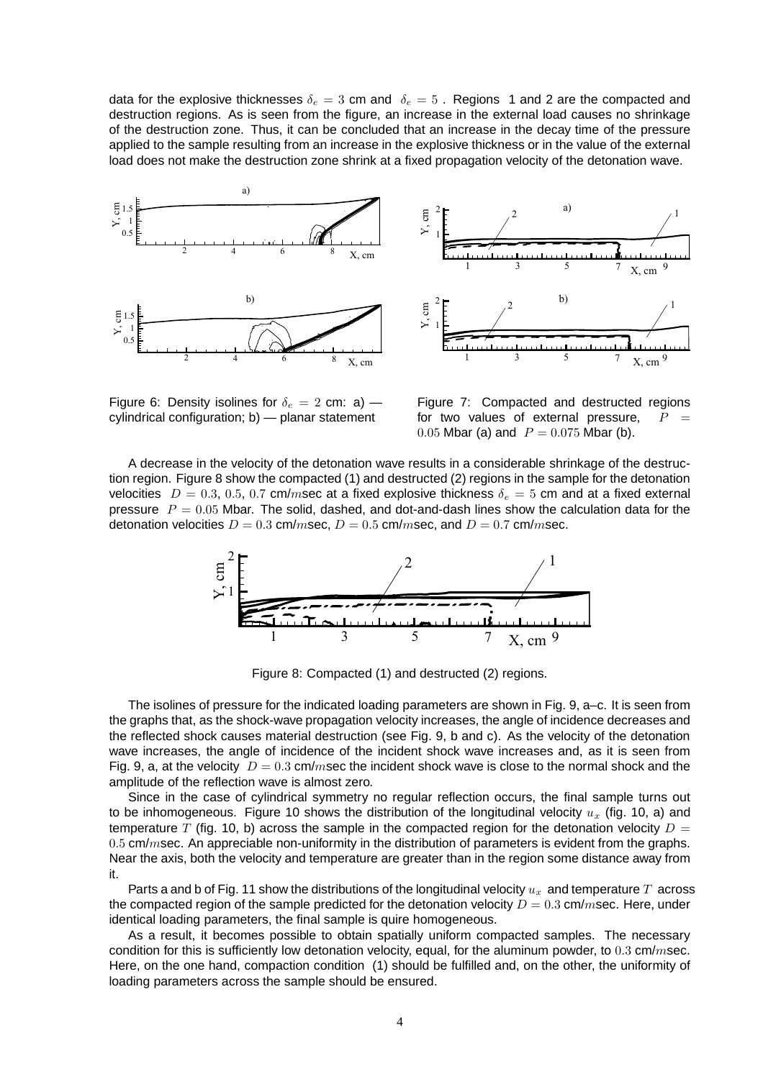data for the explosive thicknesses  $\delta_e = 3$  cm and  $\delta_e = 5$ . Regions 1 and 2 are the compacted and destruction regions. As is seen from the figure, an increase in the external load causes no shrinkage of the destruction zone. Thus, it can be concluded that an increase in the decay time of the pressure applied to the sample resulting from an increase in the explosive thickness or in the value of the external load does not make the destruction zone shrink at a fixed propagation velocity of the detonation wave.



Figure 6: Density isolines for  $\delta_e = 2$  cm: a) – cylindrical configuration; b) — planar statement

Figure 7: Compacted and destructed regions for two values of external pressure,  $P$ 0.05 Mbar (a) and  $P = 0.075$  Mbar (b).

A decrease in the velocity of the detonation wave results in a considerable shrinkage of the destruction region. Figure 8 show the compacted (1) and destructed (2) regions in the sample for the detonation velocities  $D = 0.3, 0.5, 0.7$  cm/msec at a fixed explosive thickness  $\delta_e = 5$  cm and at a fixed external pressure  $P = 0.05$  Mbar. The solid, dashed, and dot-and-dash lines show the calculation data for the detonation velocities  $D = 0.3$  cm/msec,  $D = 0.5$  cm/msec, and  $D = 0.7$  cm/msec.



Figure 8: Compacted (1) and destructed (2) regions.

The isolines of pressure for the indicated loading parameters are shown in Fig. 9, a–c. It is seen from the graphs that, as the shock-wave propagation velocity increases, the angle of incidence decreases and the reflected shock causes material destruction (see Fig. 9, b and c). As the velocity of the detonation wave increases, the angle of incidence of the incident shock wave increases and, as it is seen from Fig. 9, a, at the velocity  $D = 0.3$  cm/msec the incident shock wave is close to the normal shock and the amplitude of the reflection wave is almost zero.

Since in the case of cylindrical symmetry no regular reflection occurs, the final sample turns out to be inhomogeneous. Figure 10 shows the distribution of the longitudinal velocity  $u_x$  (fig. 10, a) and temperature  $\overline{T}$  (fig. 10, b) across the sample in the compacted region for the detonation velocity  $D =$  $0.5$  cm/msec. An appreciable non-uniformity in the distribution of parameters is evident from the graphs. Near the axis, both the velocity and temperature are greater than in the region some distance away from it.

Parts a and b of Fig. 11 show the distributions of the longitudinal velocity  $u_x$  and temperature  $T$  across the compacted region of the sample predicted for the detonation velocity  $D = 0.3$  cm/msec. Here, under identical loading parameters, the final sample is quire homogeneous.

As a result, it becomes possible to obtain spatially uniform compacted samples. The necessary condition for this is sufficiently low detonation velocity, equal, for the aluminum powder, to  $0.3$  cm/msec. Here, on the one hand, compaction condition (1) should be fulfilled and, on the other, the uniformity of loading parameters across the sample should be ensured.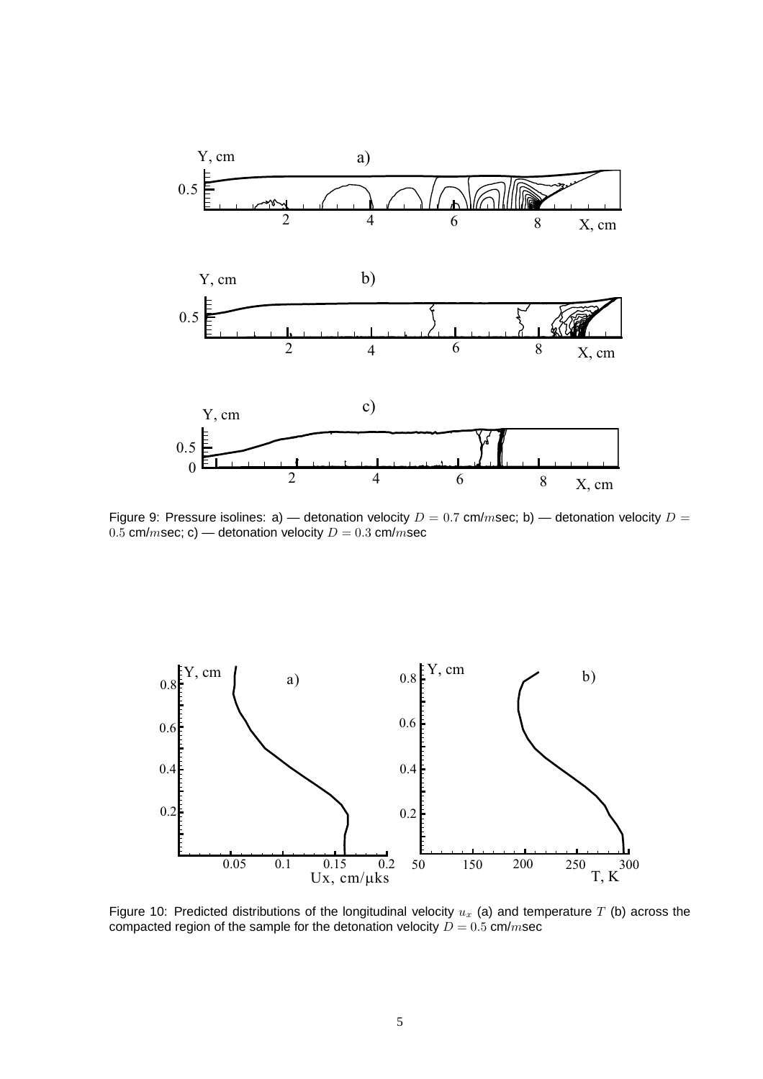

Figure 9: Pressure isolines: a) — detonation velocity  $D = 0.7$  cm/msec; b) — detonation velocity  $D =$ 0.5 cm/msec; c) — detonation velocity  $D = 0.3$  cm/msec



Figure 10: Predicted distributions of the longitudinal velocity  $u_x$  (a) and temperature T (b) across the compacted region of the sample for the detonation velocity  $D = 0.5$  cm/msec